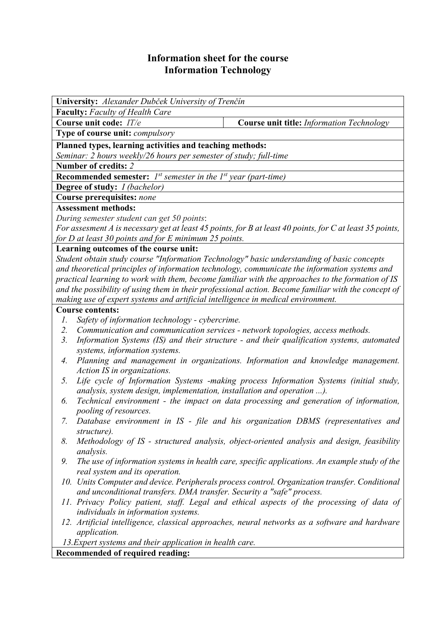# **Information sheet for the course Information Technology**

**Faculty:** *Faculty of Health Care*  **Course unit code:** *IT/e* **Course unit title:** *Information Technology* **Type of course unit:** *compulsory*  **Planned types, learning activities and teaching methods:**  *Seminar: 2 hours weekly/26 hours per semester of study; full-time* **Number of credits:** *2* **Recommended semester:** *1st semester in the 1st year (part-time)*  **Degree of study:** *I (bachelor)*  **Course prerequisites:** *none*

## **Assessment methods:**

*During semester student can get 50 points*:

**University:** *Alexander Dubček University of Trenčín* 

*For assesment A is necessary get at least 45 points, for B at least 40 points, for C at least 35 points, for D at least 30 points and for E minimum 25 points.*

### **Learning outcomes of the course unit:**

*Student obtain study course "Information Technology" basic understanding of basic concepts and theoretical principles of information technology, communicate the information systems and practical learning to work with them, become familiar with the approaches to the formation of IS and the possibility of using them in their professional action. Become familiar with the concept of making use of expert systems and artificial intelligence in medical environment.* 

### **Course contents:**

- *1. Safety of information technology cybercrime.*
- *2. Communication and communication services network topologies, access methods.*
- *3. Information Systems (IS) and their structure and their qualification systems, automated systems, information systems.*
- *4. Planning and management in organizations. Information and knowledge management. Action IS in organizations.*
- *5. Life cycle of Information Systems -making process Information Systems (initial study, analysis, system design, implementation, installation and operation ...).*
- *6. Technical environment the impact on data processing and generation of information, pooling of resources.*
- *7. Database environment in IS file and his organization DBMS (representatives and structure).*
- *8. Methodology of IS structured analysis, object-oriented analysis and design, feasibility analysis.*
- *9. The use of information systems in health care, specific applications. An example study of the real system and its operation.*
- *10. Units Computer and device. Peripherals process control. Organization transfer. Conditional and unconditional transfers. DMA transfer. Security a "safe" process.*
- *11. Privacy Policy patient, staff. Legal and ethical aspects of the processing of data of individuals in information systems.*
- *12. Artificial intelligence, classical approaches, neural networks as a software and hardware application.*

 *13.Expert systems and their application in health care.*

**Recommended of required reading:**